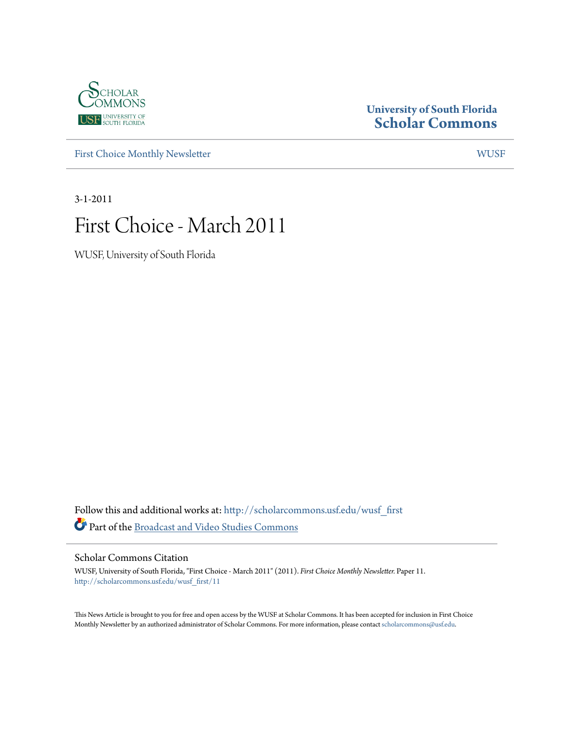

## **University of South Florida [Scholar Commons](http://scholarcommons.usf.edu?utm_source=scholarcommons.usf.edu%2Fwusf_first%2F11&utm_medium=PDF&utm_campaign=PDFCoverPages)**

[First Choice Monthly Newsletter](http://scholarcommons.usf.edu/wusf_first?utm_source=scholarcommons.usf.edu%2Fwusf_first%2F11&utm_medium=PDF&utm_campaign=PDFCoverPages) [WUSF](http://scholarcommons.usf.edu/wusf?utm_source=scholarcommons.usf.edu%2Fwusf_first%2F11&utm_medium=PDF&utm_campaign=PDFCoverPages)

3-1-2011

# First Choice - March 2011

WUSF, University of South Florida

Follow this and additional works at: [http://scholarcommons.usf.edu/wusf\\_first](http://scholarcommons.usf.edu/wusf_first?utm_source=scholarcommons.usf.edu%2Fwusf_first%2F11&utm_medium=PDF&utm_campaign=PDFCoverPages) Part of the [Broadcast and Video Studies Commons](http://network.bepress.com/hgg/discipline/326?utm_source=scholarcommons.usf.edu%2Fwusf_first%2F11&utm_medium=PDF&utm_campaign=PDFCoverPages)

Scholar Commons Citation

WUSF, University of South Florida, "First Choice - March 2011" (2011). *First Choice Monthly Newsletter.* Paper 11. [http://scholarcommons.usf.edu/wusf\\_first/11](http://scholarcommons.usf.edu/wusf_first/11?utm_source=scholarcommons.usf.edu%2Fwusf_first%2F11&utm_medium=PDF&utm_campaign=PDFCoverPages)

This News Article is brought to you for free and open access by the WUSF at Scholar Commons. It has been accepted for inclusion in First Choice Monthly Newsletter by an authorized administrator of Scholar Commons. For more information, please contact [scholarcommons@usf.edu.](mailto:scholarcommons@usf.edu)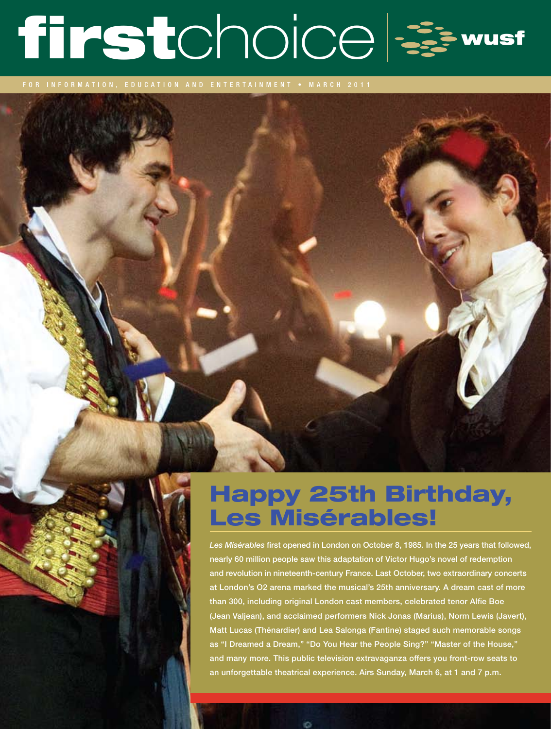# firstchoice &

for information, education and entertainment • MARC H 2011

# Happy 25th Birthday, Les Misérables!

*Les Misérables* first opened in London on October 8, 1985. In the 25 years that followed, nearly 60 million people saw this adaptation of Victor Hugo's novel of redemption and revolution in nineteenth-century France. Last October, two extraordinary concerts at London's O2 arena marked the musical's 25th anniversary. A dream cast of more than 300, including original London cast members, celebrated tenor Alfie Boe (Jean Valjean), and acclaimed performers Nick Jonas (Marius), Norm Lewis (Javert), Matt Lucas (Thénardier) and Lea Salonga (Fantine) staged such memorable songs as "I Dreamed a Dream," "Do You Hear the People Sing?" "Master of the House," and many more. This public television extravaganza offers you front-row seats to an unforgettable theatrical experience. Airs Sunday, March 6, at 1 and 7 p.m.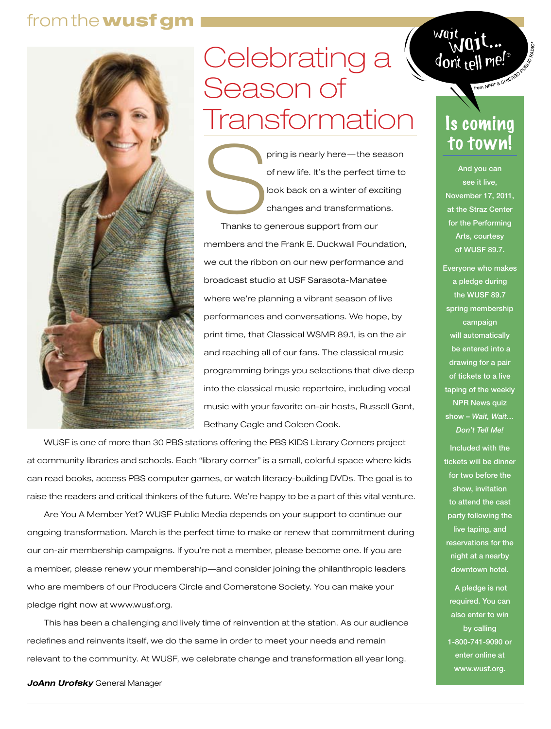# from the wusf gm



# Celebrating a Season of **Transformation**

pring is nearly here—the season<br>of new life. It's the perfect time to<br>look back on a winter of exciting<br>changes and transformations.<br>Thanks to generous support from our of new life. It's the perfect time to look back on a winter of exciting changes and transformations. Thanks to generous support from our members and the Frank E. Duckwall Foundation, we cut the ribbon on our new performance and broadcast studio at USF Sarasota-Manatee where we're planning a vibrant season of live performances and conversations. We hope, by print time, that Classical WSMR 89.1, is on the air and reaching all of our fans. The classical music programming brings you selections that dive deep into the classical music repertoire, including vocal music with your favorite on-air hosts, Russell Gant, Bethany Cagle and Coleen Cook.

WUSF is one of more than 30 PBS stations offering the PBS KIDS Library Corners project at community libraries and schools. Each "library corner" is a small, colorful space where kids can read books, access PBS computer games, or watch literacy-building DVDs. The goal is to raise the readers and critical thinkers of the future. We're happy to be a part of this vital venture.

Are You A Member Yet? WUSF Public Media depends on your support to continue our ongoing transformation. March is the perfect time to make or renew that commitment during our on-air membership campaigns. If you're not a member, please become one. If you are a member, please renew your membership—and consider joining the philanthropic leaders who are members of our Producers Circle and Cornerstone Society. You can make your pledge right now at www.wusf.org.

This has been a challenging and lively time of reinvention at the station. As our audience redefines and reinvents itself, we do the same in order to meet your needs and remain relevant to the community. At WUSF, we celebrate change and transformation all year long.

 $\frac{1}{2}$  don't tell me!

# Is coming to town!

And you can see it live, November 17, 2011, at the Straz Center for the Performing Arts, courtesy of WUSF 89.7.

Everyone who makes a pledge during the WUSF 89.7 spring membership campaign will automatically be entered into a drawing for a pair of tickets to a live taping of the weekly NPR News quiz show – *Wait, Wait… Don't Tell Me!* 

Included with the tickets will be dinner for two before the show, invitation to attend the cast party following the live taping, and reservations for the night at a nearby downtown hotel.

 A pledge is not required. You can also enter to win by calling

1-800-741-9090 or enter online at www.wusf.org.

*JoAnn Urofsky* General Manager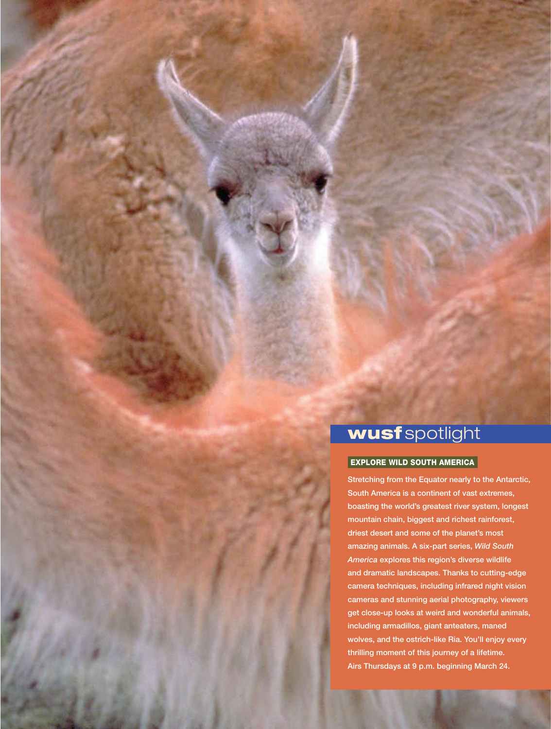# wusf spotlight

#### EXPLORE WILD SOUTH AMERICA

Stretching from the Equator nearly to the Antarctic, South America is a continent of vast extremes, boasting the world's greatest river system, longest mountain chain, biggest and richest rainforest, driest desert and some of the planet's most amazing animals. A six-part series, *Wild South America* explores this region's diverse wildlife and dramatic landscapes. Thanks to cutting-edge camera techniques, including infrared night vision cameras and stunning aerial photography, viewers get close-up looks at weird and wonderful animals, including armadillos, giant anteaters, maned wolves, and the ostrich-like Ria. You'll enjoy every thrilling moment of this journey of a lifetime. Airs Thursdays at 9 p.m. beginning March 24.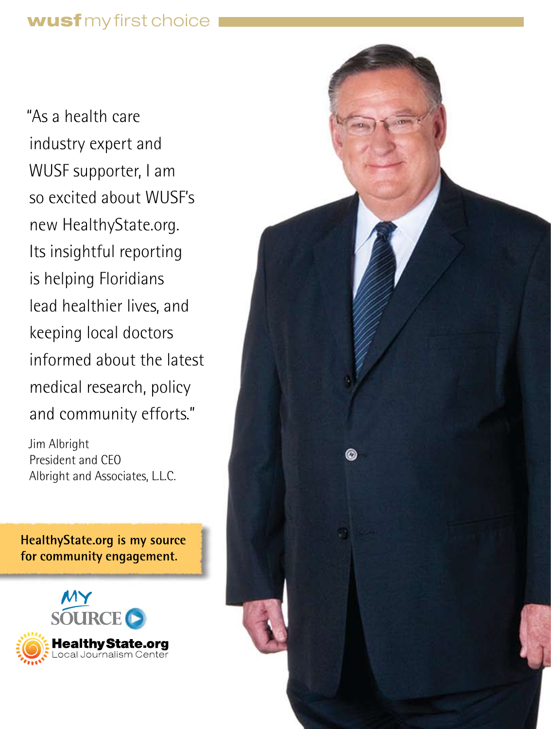"As a health care industry expert and WUSF supporter, I am so excited about WUSF's new HealthyState.org. Its insightful reporting is helping Floridians lead healthier lives, and keeping local doctors informed about the latest medical research, policy and community efforts."

Jim Albright President and CEO Albright and Associates, L.L.C.

HealthyState.org is my source for community engagement.



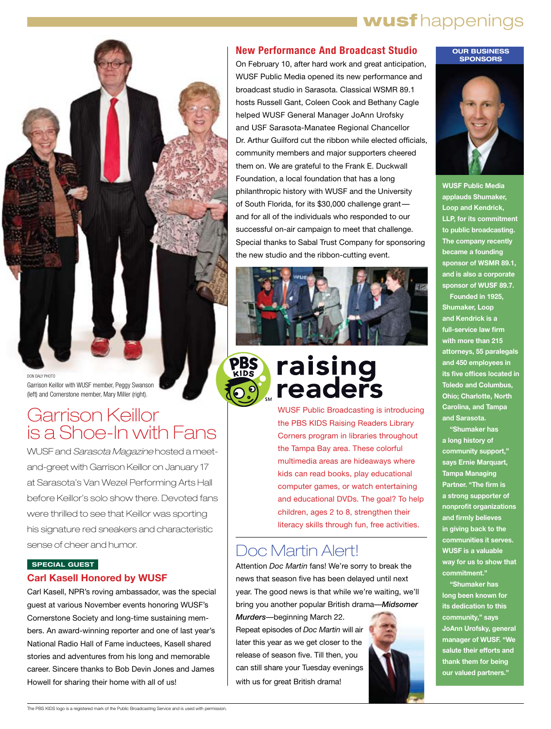# wusf happenings



DON DALY PHOTO Garrison Keillor with WUSF member, Peggy Swanson (left) and Cornerstone member, Mary Miller (right).

# Garrison Keillor is a Shoe-In with Fans

WUSF and *Sarasota Magazine* hosted a meetand-greet with Garrison Keillor on January 17 at Sarasota's Van Wezel Performing Arts Hall before Keillor's solo show there. Devoted fans were thrilled to see that Keillor was sporting his signature red sneakers and characteristic sense of cheer and humor.

#### **SPECIAL GUEST Carl Kasell Honored by WUSF**

Carl Kasell, NPR's roving ambassador, was the special guest at various November events honoring WUSF's Cornerstone Society and long-time sustaining members. An award-winning reporter and one of last year's National Radio Hall of Fame inductees, Kasell shared stories and adventures from his long and memorable career. Sincere thanks to Bob Devin Jones and James Howell for sharing their home with all of us!

#### **New Performance And Broadcast Studio**

On February 10, after hard work and great anticipation, WUSF Public Media opened its new performance and broadcast studio in Sarasota. Classical WSMR 89.1 hosts Russell Gant, Coleen Cook and Bethany Cagle helped WUSF General Manager JoAnn Urofsky and USF Sarasota-Manatee Regional Chancellor Dr. Arthur Guilford cut the ribbon while elected officials, community members and major supporters cheered them on. We are grateful to the Frank E. Duckwall Foundation, a local foundation that has a long philanthropic history with WUSF and the University of South Florida, for its \$30,000 challenge grant and for all of the individuals who responded to our successful on-air campaign to meet that challenge. Special thanks to Sabal Trust Company for sponsoring the new studio and the ribbon-cutting event.



# raising readers

WUSF Public Broadcasting is introducing the PBS KIDS Raising Readers Library Corners program in libraries throughout the Tampa Bay area. These colorful multimedia areas are hideaways where kids can read books, play educational computer games, or watch entertaining and educational DVDs. The goal? To help children, ages 2 to 8, strengthen their literacy skills through fun, free activities.

## Doc Martin Alert!

Attention *Doc Martin* fans! We're sorry to break the news that season five has been delayed until next year. The good news is that while we're waiting, we'll bring you another popular British drama—*Midsomer* 

*Murders*—beginning March 22. Repeat episodes of *Doc Martin* will air later this year as we get closer to the release of season five. Till then, you can still share your Tuesday evenings with us for great British drama!



#### **OUR BUSINESS SPONSORS**



**WUSF Public Media applauds Shumaker, Loop and Kendrick, LLP, for its commitment to public broadcasting. The company recently became a founding sponsor of WSMR 89.1, and is also a corporate sponsor of WUSF 89.7. Founded in 1925,** 

**Shumaker, Loop and Kendrick is a full-service law firm with more than 215 attorneys, 55 paralegals and 450 employees in its five offices located in Toledo and Columbus, Ohio; Charlotte, North Carolina, and Tampa and Sarasota.**

**"Shumaker has a long history of community support," says Ernie Marquart, Tampa Managing Partner. "The firm is a strong supporter of nonprofit organizations and firmly believes in giving back to the communities it serves. WUSF is a valuable way for us to show that commitment."**

**"Shumaker has long been known for its dedication to this community," says JoAnn Urofsky, general manager of WUSF. "We salute their efforts and thank them for being our valued partners."**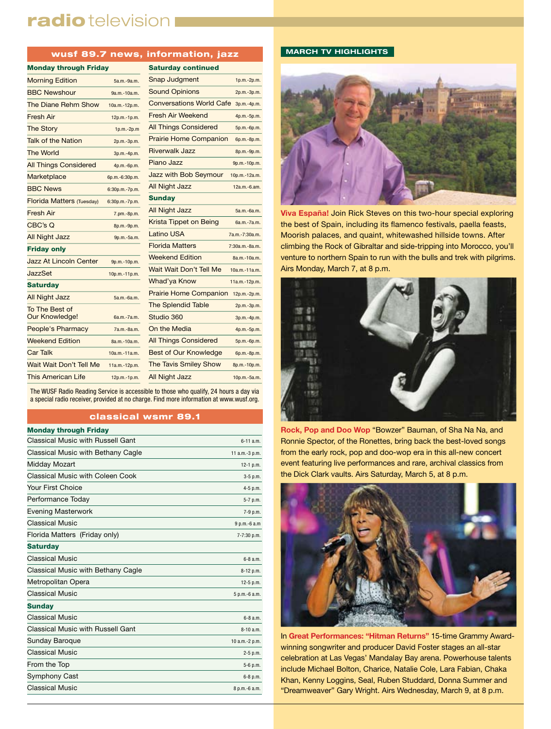## radio television

#### wusf 89.7 news, information, jazz

| <b>Monday through Friday</b>     |                | <b>Saturday continued</b>       |                |
|----------------------------------|----------------|---------------------------------|----------------|
| <b>Morning Edition</b>           | 5a.m.-9a.m.    | Snap Judgment                   | 1p.m.-2p.m.    |
| <b>BBC Newshour</b>              | 9a.m.-10a.m.   | <b>Sound Opinions</b>           | 2p.m.-3p.m.    |
| The Diane Rehm Show              | 10a.m.-12p.m.  | <b>Conversations World Cafe</b> | 3p.m.-4p.m.    |
| <b>Fresh Air</b>                 | 12p.m.-1p.m.   | Fresh Air Weekend               | 4p.m.-5p.m.    |
| <b>The Story</b>                 | $1p.m.-2p.m$   | <b>All Things Considered</b>    | 5p.m.-6p.m.    |
| <b>Talk of the Nation</b>        | 2p.m.-3p.m.    | <b>Prairie Home Companion</b>   | 6p.m.-8p.m.    |
| <b>The World</b>                 | 3p.m.-4p.m.    | <b>Riverwalk Jazz</b>           | 8p.m.-9p.m.    |
| <b>All Things Considered</b>     | 4p.m.-6p.m.    | Piano Jazz                      | 9p.m.-10p.m.   |
| Marketplace                      | 6p.m.-6:30p.m. | <b>Jazz with Bob Seymour</b>    | 10p.m.-12a.m.  |
| <b>BBC News</b>                  | 6:30p.m.-7p.m. | All Night Jazz                  | 12a.m.-6.am.   |
| <b>Florida Matters (Tuesday)</b> | 6:30p.m.-7p.m. | <b>Sunday</b>                   |                |
| <b>Fresh Air</b>                 | 7.pm.-8p.m.    | <b>All Night Jazz</b>           | 5a.m.-6a.m.    |
| CBC's Q                          | 8p.m.-9p.m.    | Krista Tippet on Being          | 6a.m.-7a.m.    |
| <b>All Night Jazz</b>            | 9p.m.-5a.m.    | Latino USA                      | 7a.m.-7:30a.m. |
| <b>Friday only</b>               |                | <b>Florida Matters</b>          | 7:30a.m.-8a.m. |
| <b>Jazz At Lincoln Center</b>    | 9p.m.-10p.m.   | <b>Weekend Edition</b>          | 8a.m.-10a.m.   |
| JazzSet                          | 10p.m.-11p.m.  | Wait Wait Don't Tell Me         | 10a.m.-11a.m.  |
| <b>Saturday</b>                  |                | Whad'ya Know                    | 11a.m.-12p.m.  |
| <b>All Night Jazz</b>            | 5a.m.-6a.m.    | <b>Prairie Home Companion</b>   | 12p.m.-2p.m.   |
| To The Best of                   |                | <b>The Splendid Table</b>       | 2p.m.-3p.m.    |
| Our Knowledge!                   | 6a.m.-7a.m.    | Studio 360                      | 3p.m.-4p.m.    |
| People's Pharmacy                | 7a.m.-8a.m.    | On the Media                    | 4p.m.-5p.m.    |
| <b>Weekend Edition</b>           | 8a.m.-10a.m.   | <b>All Things Considered</b>    | 5p.m.-6p.m.    |
| <b>Car Talk</b>                  | 10a.m.-11a.m.  | <b>Best of Our Knowledge</b>    | 6p.m.-8p.m.    |
| Wait Wait Don't Tell Me          | 11a.m.-12p.m.  | <b>The Tavis Smiley Show</b>    | 8p.m.-10p.m.   |
| This American Life               | 12p.m.-1p.m.   | <b>All Night Jazz</b>           | 10p.m.-5a.m.   |

| <b>Saturday continued</b>       |                |
|---------------------------------|----------------|
| Snap Judgment                   | 1p.m.-2p.m.    |
| <b>Sound Opinions</b>           | 2p.m.-3p.m.    |
| <b>Conversations World Cafe</b> | 3p.m.-4p.m.    |
| <b>Fresh Air Weekend</b>        | 4p.m.-5p.m.    |
| <b>All Things Considered</b>    | 5p.m.-6p.m.    |
| <b>Prairie Home Companion</b>   | 6p.m.-8p.m.    |
| Riverwalk Jazz                  | 8p.m.-9p.m.    |
| Piano Jazz                      | 9p.m.-10p.m.   |
| Jazz with Bob Seymour           | 10p.m.-12a.m.  |
| <b>All Night Jazz</b>           | $12a.m.-6.am.$ |
| <b>Sunday</b>                   |                |
| <b>All Night Jazz</b>           | 5a.m.-6a.m.    |
| <b>Krista Tippet on Being</b>   | 6a.m.-7a.m.    |
| Latino USA                      | 7a.m.-7:30a.m. |
| <b>Florida Matters</b>          | 7:30a.m.-8a.m. |
| <b>Weekend Edition</b>          | 8a.m.-10a.m.   |
| Wait Wait Don't Tell Me         | 10a.m.-11a.m.  |

3p.m.-4p.m.  $\mathsf{dia}$   $\mathsf{4p.m.-5p.m.}$ Considered 5p.m.-6p.m. Knowledge 6p.m.-8p.m. miley Show 8p.m.-10p.m.  $ZZ$  10p.m.-5a.m.

The WUSF Radio Reading Service is accessible to those who qualify, 24 hours a day via a special radio receiver, provided at no charge. Find more information at www.wusf.org.

#### classical wsmr 89.1

| <b>Monday through Friday</b>       |                |
|------------------------------------|----------------|
| Classical Music with Russell Gant  | $6 - 11$ a.m.  |
| Classical Music with Bethany Cagle | 11 a.m.-3 p.m. |
| Midday Mozart                      | 12-1 p.m.      |
| Classical Music with Coleen Cook   | 3-5 p.m.       |
| Your First Choice                  | 4-5 p.m.       |
| Performance Today                  | 5-7 p.m.       |
| <b>Evening Masterwork</b>          | 7-9 p.m.       |
| <b>Classical Music</b>             | 9 p.m.-6 a.m   |
| Florida Matters (Friday only)      | 7-7:30 p.m.    |
| <b>Saturday</b>                    |                |
| <b>Classical Music</b>             | 6-8 a.m.       |
| Classical Music with Bethany Cagle | 8-12 p.m.      |
| Metropolitan Opera                 | 12-5 p.m.      |
| <b>Classical Music</b>             | 5 p.m.-6 a.m.  |
| <b>Sunday</b>                      |                |
| <b>Classical Music</b>             | 6-8 a.m.       |
| Classical Music with Russell Gant  | $8-10a.m.$     |
| <b>Sunday Baroque</b>              | 10 a.m.-2 p.m. |
| <b>Classical Music</b>             | $2-5$ p.m.     |
| From the Top                       | 5-6 p.m.       |
| <b>Symphony Cast</b>               | 6-8 p.m.       |
| <b>Classical Music</b>             | 8 p.m.-6 a.m.  |
|                                    |                |

#### **MARCH TV HIGHLIGHTS**



**Viva España!** Join Rick Steves on this two-hour special exploring the best of Spain, including its flamenco festivals, paella feasts, Moorish palaces, and quaint, whitewashed hillside towns. After climbing the Rock of Gibraltar and side-tripping into Morocco, you'll venture to northern Spain to run with the bulls and trek with pilgrims. Airs Monday, March 7, at 8 p.m.



**Rock, Pop and Doo Wop** "Bowzer" Bauman, of Sha Na Na, and Ronnie Spector, of the Ronettes, bring back the best-loved songs from the early rock, pop and doo-wop era in this all-new concert event featuring live performances and rare, archival classics from the Dick Clark vaults. Airs Saturday, March 5, at 8 p.m.



In **Great Performances: "Hitman Returns"** 15-time Grammy Awardwinning songwriter and producer David Foster stages an all-star celebration at Las Vegas' Mandalay Bay arena. Powerhouse talents include Michael Bolton, Charice, Natalie Cole, Lara Fabian, Chaka Khan, Kenny Loggins, Seal, Ruben Studdard, Donna Summer and "Dreamweaver" Gary Wright. Airs Wednesday, March 9, at 8 p.m.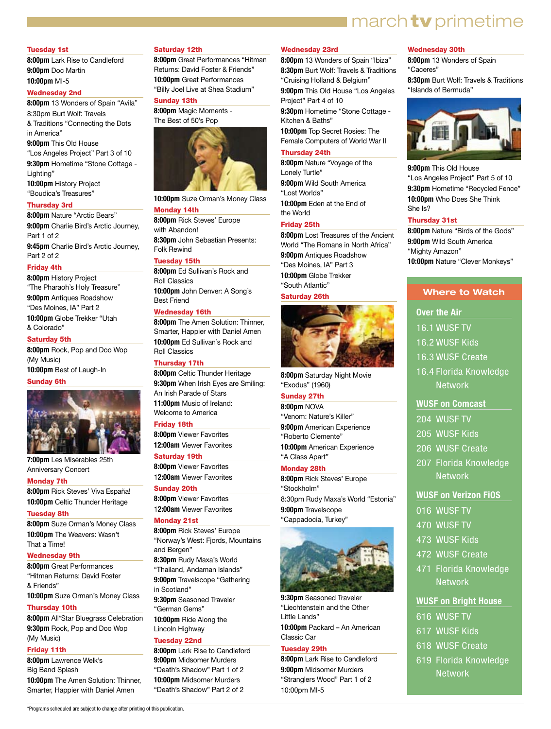## $\blacksquare$  march  $\mathsf{tv}$  primetime

#### Tuesday 1st

**8:00pm** Lark Rise to Candleford **9:00pm** Doc Martin **10:00pm** MI-5

#### Wednesday 2nd

**8:00pm** 13 Wonders of Spain "Avila" 8:30pm Burt Wolf: Travels & Traditions "Connecting the Dots in America"

**9:00pm** This Old House "Los Angeles Project" Part 3 of 10 **9:30pm** Hometime "Stone Cottage - Lighting" **10:00pm** History Project

"Boudica's Treasures"

#### Thursday 3rd

**8:00pm** Nature "Arctic Bears" **9:00pm** Charlie Bird's Arctic Journey, Part 1 of 2 **9:45pm** Charlie Bird's Arctic Journey, Part 2 of 2

#### Friday 4th

**8:00pm** History Project "The Pharaoh's Holy Treasure" **9:00pm** Antiques Roadshow "Des Moines, IA" Part 2 **10:00pm** Globe Trekker "Utah & Colorado"

#### Saturday 5th

**8:00pm** Rock, Pop and Doo Wop (My Music) **10:00pm** Best of Laugh-In

#### Sunday 6th



**7:00pm** Les Misérables 25th Anniversary Concert

#### Monday 7th

**8:00pm** Rick Steves' Viva España! **10:00pm** Celtic Thunder Heritage

#### Tuesday 8th

**8:00pm** Suze Orman's Money Class **10:00pm** The Weavers: Wasn't That a Time!

#### Wednesday 9th

**8:00pm** Great Performances "Hitman Returns: David Foster & Friends" **10:00pm** Suze Orman's Money Class

#### Thursday 10th

**8:00pm** All\*Star Bluegrass Celebration **9:30pm** Rock, Pop and Doo Wop (My Music)

#### Friday 11th

**8:00pm** Lawrence Welk's Big Band Splash **10:00pm** The Amen Solution: Thinner, Smarter, Happier with Daniel Amen

\*Programs scheduled are subject to change after printing of this publication.

#### Saturday 12th

**8:00pm** Great Performances "Hitman Returns: David Foster & Friends" **10:00pm** Great Performances "Billy Joel Live at Shea Stadium"

#### Sunday 13th

**8:00pm** Magic Moments - The Best of 50's Pop



**10:00pm** Suze Orman's Money Class Monday 14th

#### **8:00pm** Rick Steves' Europe with Abandon!

**8:30pm** John Sebastian Presents: Folk Rewind

#### Tuesday 15th

**8:00pm** Ed Sullivan's Rock and Roll Classics **10:00pm** John Denver: A Song's Best Friend

#### Wednesday 16th

**8:00pm** The Amen Solution: Thinner, Smarter, Happier with Daniel Amen **10:00pm** Ed Sullivan's Rock and Roll Classics

#### Thursday 17th

**8:00pm** Celtic Thunder Heritage **9:30pm** When Irish Eyes are Smiling: An Irish Parade of Stars **11:00pm** Music of Ireland: Welcome to America

#### Friday 18th

**8:00pm** Viewer Favorites **12:00am** Viewer Favorites

#### Saturday 19th

**8:00pm** Viewer Favorites 1**2:00am** Viewer Favorites

#### Sunday 20th

**8:00pm** Viewer Favorites 1**2:00am** Viewer Favorites

#### Monday 21st

**8:00pm** Rick Steves' Europe "Norway's West: Fjords, Mountains and Bergen" **8:30pm** Rudy Maxa's World

"Thailand, Andaman Islands" **9:00pm** Travelscope "Gathering

in Scotland" **9:30pm** Seasoned Traveler "German Gems"

**10:00pm** Ride Along the Lincoln Highway

#### Tuesday 22nd

**8:00pm** Lark Rise to Candleford **9:00pm** Midsomer Murders "Death's Shadow" Part 1 of 2 **10:00pm** Midsomer Murders "Death's Shadow" Part 2 of 2

#### Wednesday 23rd

**8:00pm** 13 Wonders of Spain "Ibiza" **8:30pm** Burt Wolf: Travels & Traditions "Cruising Holland & Belgium"

**9:00pm** This Old House "Los Angeles Project" Part 4 of 10

**9:30pm** Hometime "Stone Cottage - Kitchen & Baths"

**10:00pm** Top Secret Rosies: The Female Computers of World War II

#### Thursday 24th

**8:00pm** Nature "Voyage of the Lonely Turtle" **9:00pm** Wild South America "Lost Worlds" **10:00pm** Eden at the End of the World

#### Friday 25th

**8:00pm** Lost Treasures of the Ancient World "The Romans in North Africa" **9:00pm** Antiques Roadshow "Des Moines, IA" Part 3 **10:00pm** Globe Trekker "South Atlantic"

#### Saturday 26th



**8:00pm** Saturday Night Movie "Exodus" (1960)

#### Sunday 27th

**8:00pm** NOVA "Venom: Nature's Killer" **9:00pm** American Experience "Roberto Clemente" **10:00pm** American Experience "A Class Apart"

#### Monday 28th

**8:00pm** Rick Steves' Europe "Stockholm" 8:30pm Rudy Maxa's World "Estonia" **9:00pm** Travelscope "Cappadocia, Turkey"



**9:30pm** Seasoned Traveler "Liechtenstein and the Other Little Lands" **10:00pm** Packard – An American

Classic Car

#### Tuesday 29th

**8:00pm** Lark Rise to Candleford **9:00pm** Midsomer Murders "Stranglers Wood" Part 1 of 2 10:00pm MI-5

#### Wednesday 30th

**8:00pm** 13 Wonders of Spain "Caceres"

**8:30pm** Burt Wolf: Travels & Traditions "Islands of Bermuda"



**9:00pm** This Old House "Los Angeles Project" Part 5 of 10 **9:30pm** Hometime "Recycled Fence" **10:00pm** Who Does She Think She Is?

#### Thursday 31st

**8:00pm** Nature "Birds of the Gods" **9:00pm** Wild South America "Mighty Amazon" **10:00pm** Nature "Clever Monkeys"

#### **Where to Watch**

**Over the Air** 

- 16.1 WUSF TV
- 16.2 WUSF Kids
- 16.3 WUSF Create
- 16.4 Florida Knowledge Network

#### **WUSF on Comcast**

- 204 WUSF TV
- 205 WUSF Kids
- 206 WUSF Create
- 
- 207 Florida Knowledge **Network**

#### **WUSF on Verizon FiOS**

- 016 WUSF TV
- 470 WUSF TV
- 473 WUSF Kids

616 WUSF TV 617 WUSF Kids 618 WUSF Create 619 Florida Knowledge **Network** 

- 472 WUSF Create
- 471 Florida Knowledge **Network**

**WUSF on Bright House**